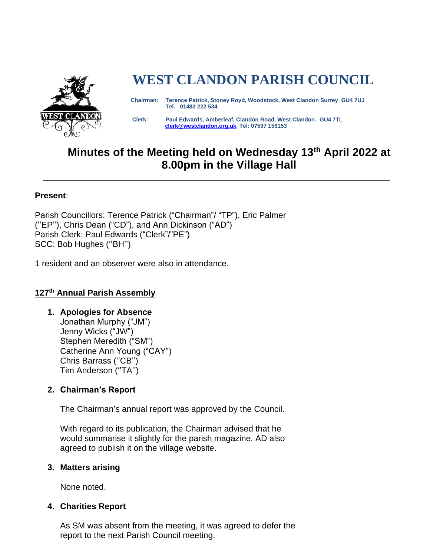

# **WEST CLANDON PARISH COUNCIL**

 **Chairman: Terence Patrick, Stoney Royd, Woodstock, West Clandon Surrey GU4 7UJ Tel. 01483 222 534** 

 **Clerk: Paul Edwards, Amberleaf, Clandon Road, West Clandon. GU4 7TL [clerk@westclandon.org.uk](mailto:clerk@westclandon.org.uk) Tel: 07597 156153**

# **Minutes of the Meeting held on Wednesday 13th April 2022 at 8.00pm in the Village Hall**

\_\_\_\_\_\_\_\_\_\_\_\_\_\_\_\_\_\_\_\_\_\_\_\_\_\_\_\_\_\_\_\_\_\_\_\_\_\_\_\_\_\_\_\_\_\_\_\_\_\_\_\_\_\_\_\_\_\_\_\_\_\_\_\_\_\_\_\_\_\_\_\_\_\_

#### **Present**:

Parish Councillors: Terence Patrick ("Chairman"/ "TP"), Eric Palmer (''EP''), Chris Dean ("CD"), and Ann Dickinson ("AD") Parish Clerk: Paul Edwards ("Clerk"/"PE") SCC: Bob Hughes (''BH'')

1 resident and an observer were also in attendance.

# **127 th Annual Parish Assembly**

**1. Apologies for Absence** Jonathan Murphy ("JM")

Jenny Wicks ("JW") Stephen Meredith ("SM") Catherine Ann Young ("CAY") Chris Barrass (''CB'') Tim Anderson (''TA'')

# **2. Chairman's Report**

The Chairman's annual report was approved by the Council.

With regard to its publication, the Chairman advised that he would summarise it slightly for the parish magazine. AD also agreed to publish it on the village website.

#### **3. Matters arising**

None noted.

# **4. Charities Report**

As SM was absent from the meeting, it was agreed to defer the report to the next Parish Council meeting.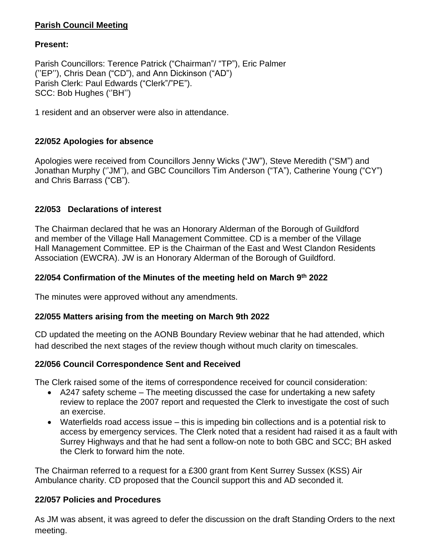# **Parish Council Meeting**

#### **Present:**

Parish Councillors: Terence Patrick ("Chairman"/ "TP"), Eric Palmer (''EP''), Chris Dean ("CD"), and Ann Dickinson ("AD") Parish Clerk: Paul Edwards ("Clerk"/"PE"). SCC: Bob Hughes (''BH'')

1 resident and an observer were also in attendance.

# **22/052 Apologies for absence**

Apologies were received from Councillors Jenny Wicks ("JW"), Steve Meredith ("SM") and Jonathan Murphy (''JM''), and GBC Councillors Tim Anderson ("TA"), Catherine Young ("CY") and Chris Barrass ("CB").

# **22/053 Declarations of interest**

The Chairman declared that he was an Honorary Alderman of the Borough of Guildford and member of the Village Hall Management Committee. CD is a member of the Village Hall Management Committee. EP is the Chairman of the East and West Clandon Residents Association (EWCRA). JW is an Honorary Alderman of the Borough of Guildford.

#### **22/054 Confirmation of the Minutes of the meeting held on March 9 th 2022**

The minutes were approved without any amendments.

# **22/055 Matters arising from the meeting on March 9th 2022**

CD updated the meeting on the AONB Boundary Review webinar that he had attended, which had described the next stages of the review though without much clarity on timescales.

# **22/056 Council Correspondence Sent and Received**

The Clerk raised some of the items of correspondence received for council consideration:

- A247 safety scheme The meeting discussed the case for undertaking a new safety review to replace the 2007 report and requested the Clerk to investigate the cost of such an exercise.
- Waterfields road access issue this is impeding bin collections and is a potential risk to access by emergency services. The Clerk noted that a resident had raised it as a fault with Surrey Highways and that he had sent a follow-on note to both GBC and SCC; BH asked the Clerk to forward him the note.

The Chairman referred to a request for a £300 grant from Kent Surrey Sussex (KSS) Air Ambulance charity. CD proposed that the Council support this and AD seconded it.

#### **22/057 Policies and Procedures**

As JM was absent, it was agreed to defer the discussion on the draft Standing Orders to the next meeting.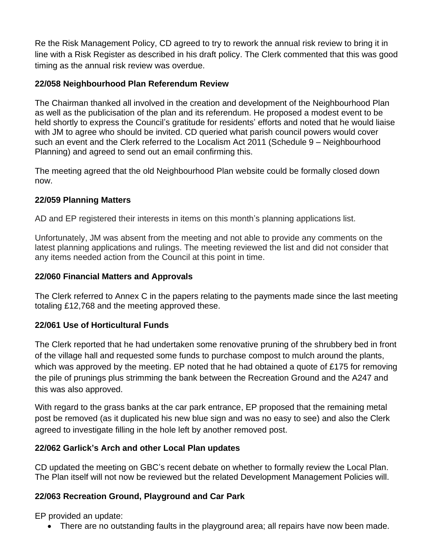Re the Risk Management Policy, CD agreed to try to rework the annual risk review to bring it in line with a Risk Register as described in his draft policy. The Clerk commented that this was good timing as the annual risk review was overdue.

# **22/058 Neighbourhood Plan Referendum Review**

The Chairman thanked all involved in the creation and development of the Neighbourhood Plan as well as the publicisation of the plan and its referendum. He proposed a modest event to be held shortly to express the Council's gratitude for residents' efforts and noted that he would liaise with JM to agree who should be invited. CD queried what parish council powers would cover such an event and the Clerk referred to the Localism Act 2011 (Schedule 9 – Neighbourhood Planning) and agreed to send out an email confirming this.

The meeting agreed that the old Neighbourhood Plan website could be formally closed down now.

# **22/059 Planning Matters**

AD and EP registered their interests in items on this month's planning applications list.

Unfortunately, JM was absent from the meeting and not able to provide any comments on the latest planning applications and rulings. The meeting reviewed the list and did not consider that any items needed action from the Council at this point in time.

#### **22/060 Financial Matters and Approvals**

The Clerk referred to Annex C in the papers relating to the payments made since the last meeting totaling £12,768 and the meeting approved these.

# **22/061 Use of Horticultural Funds**

The Clerk reported that he had undertaken some renovative pruning of the shrubbery bed in front of the village hall and requested some funds to purchase compost to mulch around the plants, which was approved by the meeting. EP noted that he had obtained a quote of £175 for removing the pile of prunings plus strimming the bank between the Recreation Ground and the A247 and this was also approved.

With regard to the grass banks at the car park entrance, EP proposed that the remaining metal post be removed (as it duplicated his new blue sign and was no easy to see) and also the Clerk agreed to investigate filling in the hole left by another removed post.

# **22/062 Garlick's Arch and other Local Plan updates**

CD updated the meeting on GBC's recent debate on whether to formally review the Local Plan. The Plan itself will not now be reviewed but the related Development Management Policies will.

# **22/063 Recreation Ground, Playground and Car Park**

EP provided an update:

• There are no outstanding faults in the playground area; all repairs have now been made.